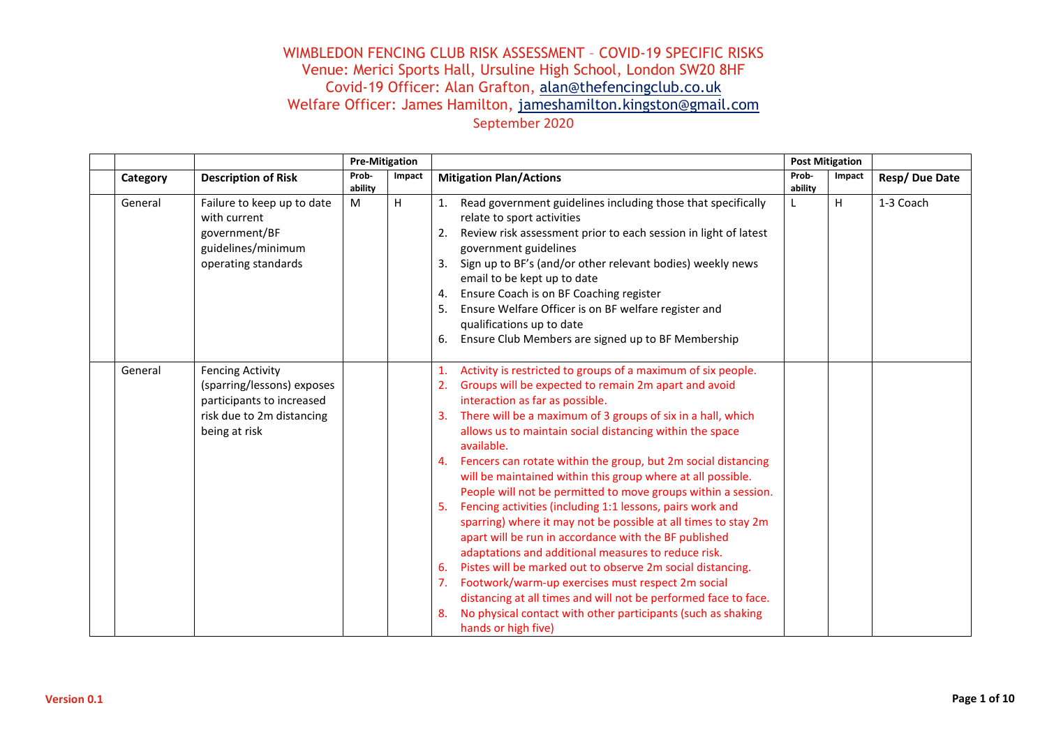|          |                                                                                                                                  | <b>Pre-Mitigation</b> |        |                                                                                                                                                                                                                                                                                                                                                                                                                                                                                                                                                                                                                                                                                                                                                                                                                                                                                                                                                                                                                                                                         | <b>Post Mitigation</b> |        |               |  |
|----------|----------------------------------------------------------------------------------------------------------------------------------|-----------------------|--------|-------------------------------------------------------------------------------------------------------------------------------------------------------------------------------------------------------------------------------------------------------------------------------------------------------------------------------------------------------------------------------------------------------------------------------------------------------------------------------------------------------------------------------------------------------------------------------------------------------------------------------------------------------------------------------------------------------------------------------------------------------------------------------------------------------------------------------------------------------------------------------------------------------------------------------------------------------------------------------------------------------------------------------------------------------------------------|------------------------|--------|---------------|--|
| Category | <b>Description of Risk</b>                                                                                                       | Prob-<br>ability      | Impact | <b>Mitigation Plan/Actions</b>                                                                                                                                                                                                                                                                                                                                                                                                                                                                                                                                                                                                                                                                                                                                                                                                                                                                                                                                                                                                                                          | Prob-<br>ability       | Impact | Resp/Due Date |  |
| General  | Failure to keep up to date<br>with current<br>government/BF<br>guidelines/minimum<br>operating standards                         | M                     | H      | Read government guidelines including those that specifically<br>1.<br>relate to sport activities<br>Review risk assessment prior to each session in light of latest<br>2.<br>government guidelines<br>Sign up to BF's (and/or other relevant bodies) weekly news<br>3.<br>email to be kept up to date<br>Ensure Coach is on BF Coaching register<br>4.<br>Ensure Welfare Officer is on BF welfare register and<br>5.<br>qualifications up to date<br>6. Ensure Club Members are signed up to BF Membership                                                                                                                                                                                                                                                                                                                                                                                                                                                                                                                                                              | L                      | H      | 1-3 Coach     |  |
| General  | <b>Fencing Activity</b><br>(sparring/lessons) exposes<br>participants to increased<br>risk due to 2m distancing<br>being at risk |                       |        | Activity is restricted to groups of a maximum of six people.<br>1.<br>2.<br>Groups will be expected to remain 2m apart and avoid<br>interaction as far as possible.<br>3. There will be a maximum of 3 groups of six in a hall, which<br>allows us to maintain social distancing within the space<br>available.<br>4. Fencers can rotate within the group, but 2m social distancing<br>will be maintained within this group where at all possible.<br>People will not be permitted to move groups within a session.<br>5.<br>Fencing activities (including 1:1 lessons, pairs work and<br>sparring) where it may not be possible at all times to stay 2m<br>apart will be run in accordance with the BF published<br>adaptations and additional measures to reduce risk.<br>6.<br>Pistes will be marked out to observe 2m social distancing.<br>Footwork/warm-up exercises must respect 2m social<br>7.<br>distancing at all times and will not be performed face to face.<br>8.<br>No physical contact with other participants (such as shaking<br>hands or high five) |                        |        |               |  |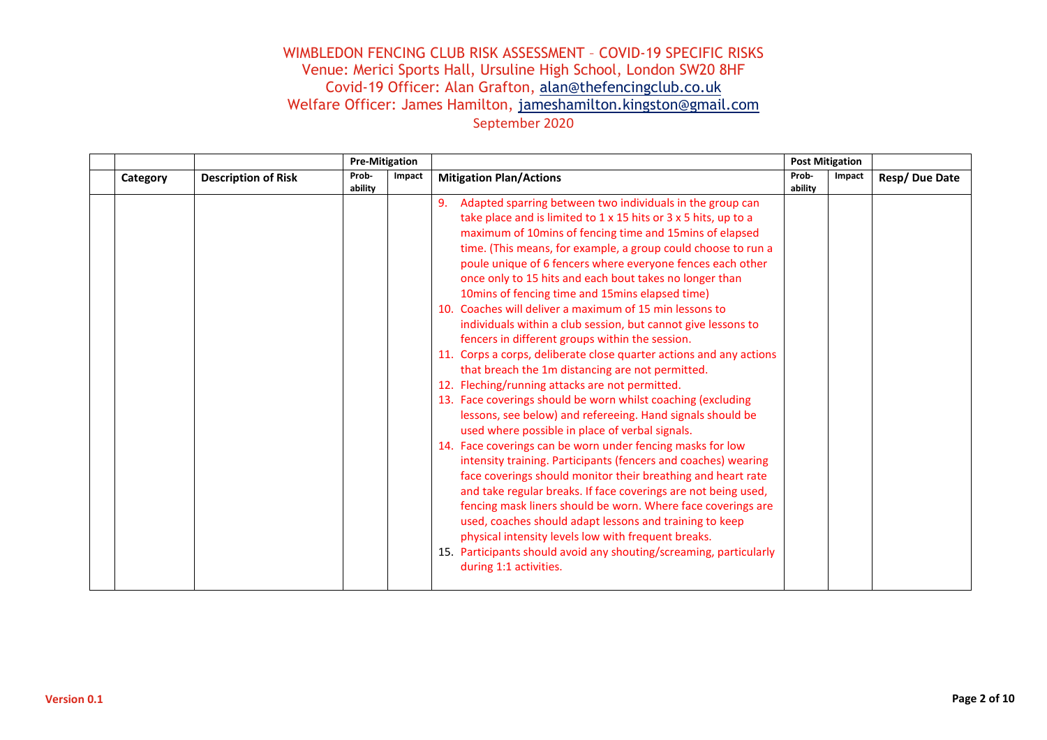|          |                            | <b>Pre-Mitigation</b> |        |                                                                                                                                                                                                                                                                                                                                                                                                                                                                                                                                                                                                                                                                                                                                                                                                                                                                                                                                                                                                                                                                                                                                                                                                                                                                                                                                                                                                                                                                                                                                           | <b>Post Mitigation</b> |        |               |
|----------|----------------------------|-----------------------|--------|-------------------------------------------------------------------------------------------------------------------------------------------------------------------------------------------------------------------------------------------------------------------------------------------------------------------------------------------------------------------------------------------------------------------------------------------------------------------------------------------------------------------------------------------------------------------------------------------------------------------------------------------------------------------------------------------------------------------------------------------------------------------------------------------------------------------------------------------------------------------------------------------------------------------------------------------------------------------------------------------------------------------------------------------------------------------------------------------------------------------------------------------------------------------------------------------------------------------------------------------------------------------------------------------------------------------------------------------------------------------------------------------------------------------------------------------------------------------------------------------------------------------------------------------|------------------------|--------|---------------|
| Category | <b>Description of Risk</b> | Prob-<br>ability      | Impact | <b>Mitigation Plan/Actions</b>                                                                                                                                                                                                                                                                                                                                                                                                                                                                                                                                                                                                                                                                                                                                                                                                                                                                                                                                                                                                                                                                                                                                                                                                                                                                                                                                                                                                                                                                                                            | Prob-<br>ability       | Impact | Resp/Due Date |
|          |                            |                       |        | 9. Adapted sparring between two individuals in the group can<br>take place and is limited to 1 x 15 hits or 3 x 5 hits, up to a<br>maximum of 10mins of fencing time and 15mins of elapsed<br>time. (This means, for example, a group could choose to run a<br>poule unique of 6 fencers where everyone fences each other<br>once only to 15 hits and each bout takes no longer than<br>10mins of fencing time and 15mins elapsed time)<br>10. Coaches will deliver a maximum of 15 min lessons to<br>individuals within a club session, but cannot give lessons to<br>fencers in different groups within the session.<br>11. Corps a corps, deliberate close quarter actions and any actions<br>that breach the 1m distancing are not permitted.<br>12. Fleching/running attacks are not permitted.<br>13. Face coverings should be worn whilst coaching (excluding<br>lessons, see below) and refereeing. Hand signals should be<br>used where possible in place of verbal signals.<br>14. Face coverings can be worn under fencing masks for low<br>intensity training. Participants (fencers and coaches) wearing<br>face coverings should monitor their breathing and heart rate<br>and take regular breaks. If face coverings are not being used,<br>fencing mask liners should be worn. Where face coverings are<br>used, coaches should adapt lessons and training to keep<br>physical intensity levels low with frequent breaks.<br>15. Participants should avoid any shouting/screaming, particularly<br>during 1:1 activities. |                        |        |               |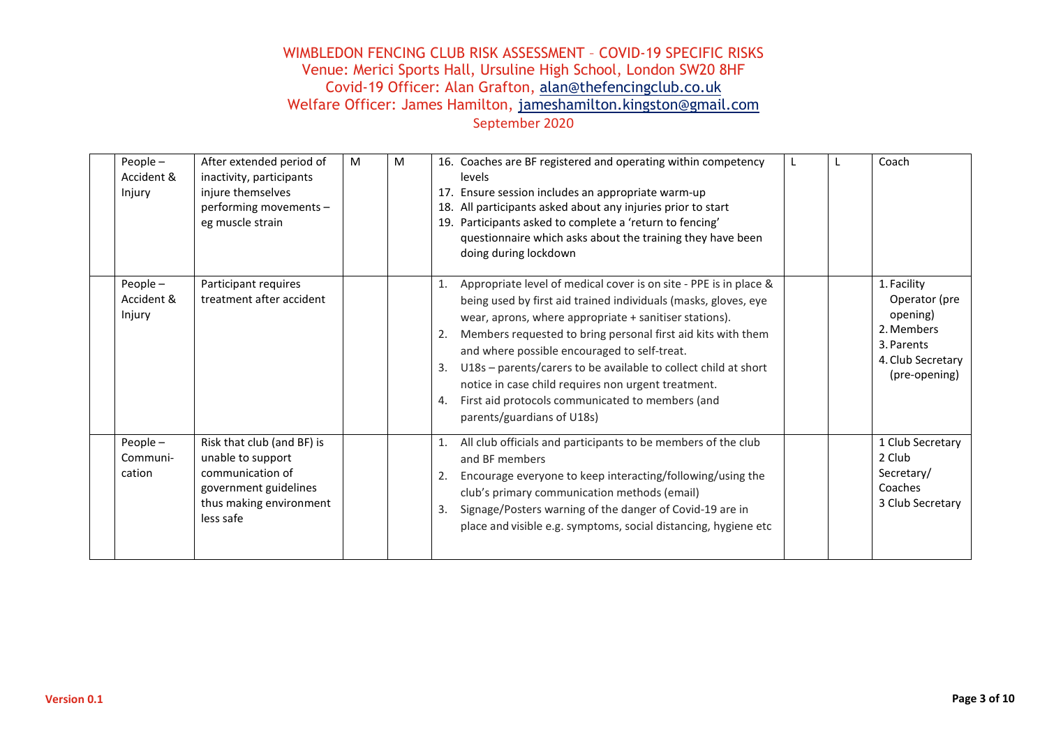| People-<br>Accident &<br>Injury    | After extended period of<br>inactivity, participants<br>injure themselves<br>performing movements -<br>eg muscle strain              | M | M | 16. Coaches are BF registered and operating within competency<br>levels<br>17. Ensure session includes an appropriate warm-up<br>18. All participants asked about any injuries prior to start<br>19. Participants asked to complete a 'return to fencing'<br>questionnaire which asks about the training they have been<br>doing during lockdown                                                                                                                                                                                                   | Coach                                                                                                      |
|------------------------------------|--------------------------------------------------------------------------------------------------------------------------------------|---|---|----------------------------------------------------------------------------------------------------------------------------------------------------------------------------------------------------------------------------------------------------------------------------------------------------------------------------------------------------------------------------------------------------------------------------------------------------------------------------------------------------------------------------------------------------|------------------------------------------------------------------------------------------------------------|
| People $-$<br>Accident &<br>Injury | Participant requires<br>treatment after accident                                                                                     |   |   | Appropriate level of medical cover is on site - PPE is in place &<br>1.<br>being used by first aid trained individuals (masks, gloves, eye<br>wear, aprons, where appropriate + sanitiser stations).<br>Members requested to bring personal first aid kits with them<br>2.<br>and where possible encouraged to self-treat.<br>U18s - parents/carers to be available to collect child at short<br>3.<br>notice in case child requires non urgent treatment.<br>First aid protocols communicated to members (and<br>4.<br>parents/guardians of U18s) | 1. Facility<br>Operator (pre<br>opening)<br>2. Members<br>3. Parents<br>4. Club Secretary<br>(pre-opening) |
| People-<br>Communi-<br>cation      | Risk that club (and BF) is<br>unable to support<br>communication of<br>government guidelines<br>thus making environment<br>less safe |   |   | All club officials and participants to be members of the club<br>1.<br>and BF members<br>Encourage everyone to keep interacting/following/using the<br>2.<br>club's primary communication methods (email)<br>Signage/Posters warning of the danger of Covid-19 are in<br>3.<br>place and visible e.g. symptoms, social distancing, hygiene etc                                                                                                                                                                                                     | 1 Club Secretary<br>2 Club<br>Secretary/<br>Coaches<br>3 Club Secretary                                    |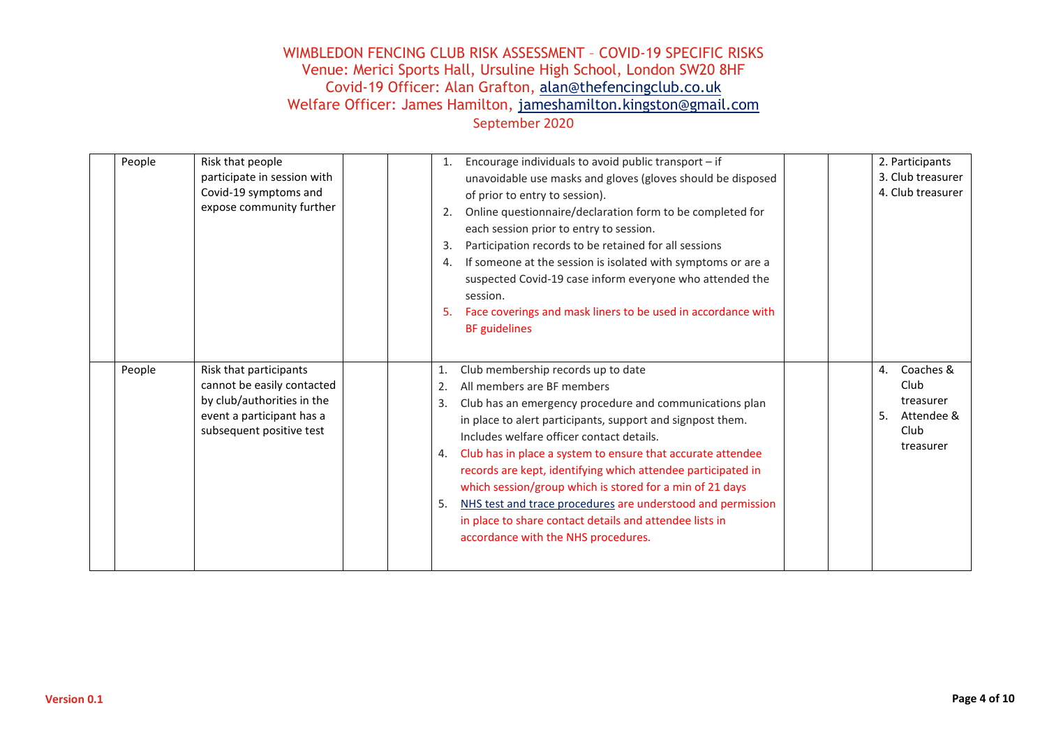| People | Risk that people<br>participate in session with<br>Covid-19 symptoms and<br>expose community further                                        | Encourage individuals to avoid public transport - if<br>1.<br>unavoidable use masks and gloves (gloves should be disposed<br>of prior to entry to session).<br>Online questionnaire/declaration form to be completed for<br>2.<br>each session prior to entry to session.<br>Participation records to be retained for all sessions<br>3.<br>If someone at the session is isolated with symptoms or are a<br>4.<br>suspected Covid-19 case inform everyone who attended the<br>session.<br>Face coverings and mask liners to be used in accordance with<br>5.<br><b>BF</b> guidelines                                             | 2. Participants<br>3. Club treasurer<br>4. Club treasurer                     |
|--------|---------------------------------------------------------------------------------------------------------------------------------------------|----------------------------------------------------------------------------------------------------------------------------------------------------------------------------------------------------------------------------------------------------------------------------------------------------------------------------------------------------------------------------------------------------------------------------------------------------------------------------------------------------------------------------------------------------------------------------------------------------------------------------------|-------------------------------------------------------------------------------|
| People | Risk that participants<br>cannot be easily contacted<br>by club/authorities in the<br>event a participant has a<br>subsequent positive test | Club membership records up to date<br>1.<br>All members are BF members<br>2.<br>Club has an emergency procedure and communications plan<br>3.<br>in place to alert participants, support and signpost them.<br>Includes welfare officer contact details.<br>Club has in place a system to ensure that accurate attendee<br>4.<br>records are kept, identifying which attendee participated in<br>which session/group which is stored for a min of 21 days<br>NHS test and trace procedures are understood and permission<br>5.<br>in place to share contact details and attendee lists in<br>accordance with the NHS procedures. | Coaches &<br>4.<br>Club<br>treasurer<br>5.<br>Attendee &<br>Club<br>treasurer |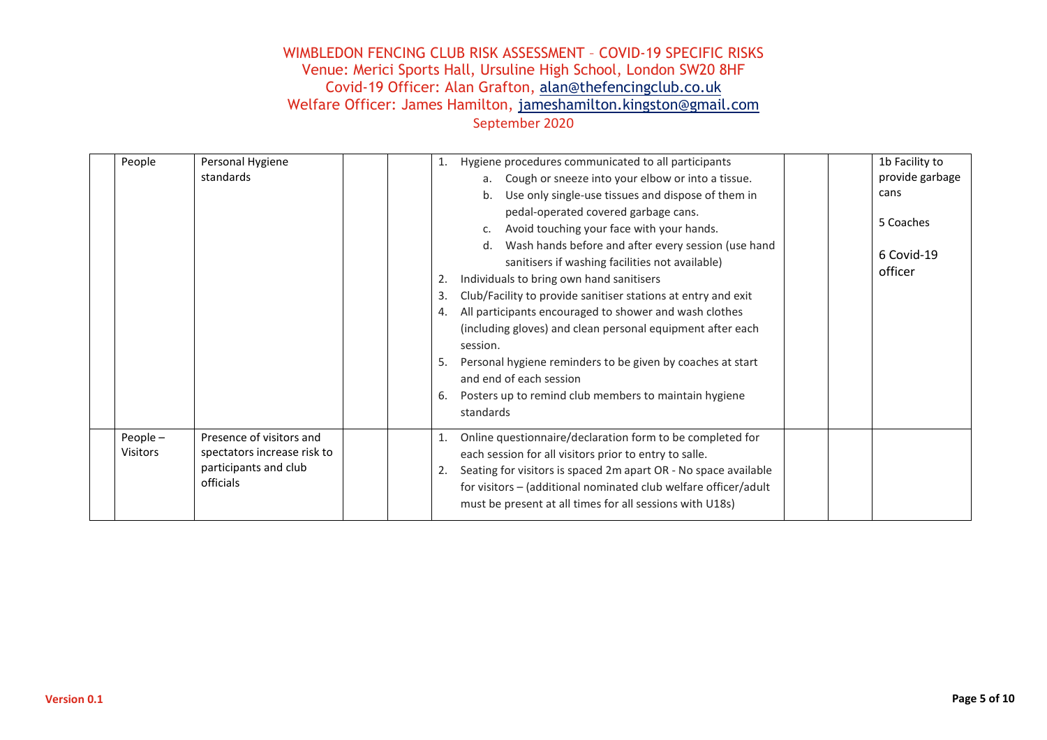| People              | Personal Hygiene<br>standards                                                                 | Hygiene procedures communicated to all participants<br>1.<br>a. Cough or sneeze into your elbow or into a tissue.<br>b. Use only single-use tissues and dispose of them in<br>pedal-operated covered garbage cans.<br>Avoid touching your face with your hands.<br>$\mathsf{C}$ .<br>d. Wash hands before and after every session (use hand<br>sanitisers if washing facilities not available)<br>Individuals to bring own hand sanitisers<br>2.<br>Club/Facility to provide sanitiser stations at entry and exit<br>3.<br>All participants encouraged to shower and wash clothes<br>4.<br>(including gloves) and clean personal equipment after each<br>session.<br>Personal hygiene reminders to be given by coaches at start<br>5.<br>and end of each session<br>Posters up to remind club members to maintain hygiene<br>6.<br>standards | 1b Facility to<br>provide garbage<br>cans<br>5 Coaches<br>6 Covid-19<br>officer |
|---------------------|-----------------------------------------------------------------------------------------------|----------------------------------------------------------------------------------------------------------------------------------------------------------------------------------------------------------------------------------------------------------------------------------------------------------------------------------------------------------------------------------------------------------------------------------------------------------------------------------------------------------------------------------------------------------------------------------------------------------------------------------------------------------------------------------------------------------------------------------------------------------------------------------------------------------------------------------------------|---------------------------------------------------------------------------------|
| People-<br>Visitors | Presence of visitors and<br>spectators increase risk to<br>participants and club<br>officials | Online questionnaire/declaration form to be completed for<br>1.<br>each session for all visitors prior to entry to salle.<br>Seating for visitors is spaced 2m apart OR - No space available<br>2.<br>for visitors - (additional nominated club welfare officer/adult<br>must be present at all times for all sessions with U18s)                                                                                                                                                                                                                                                                                                                                                                                                                                                                                                            |                                                                                 |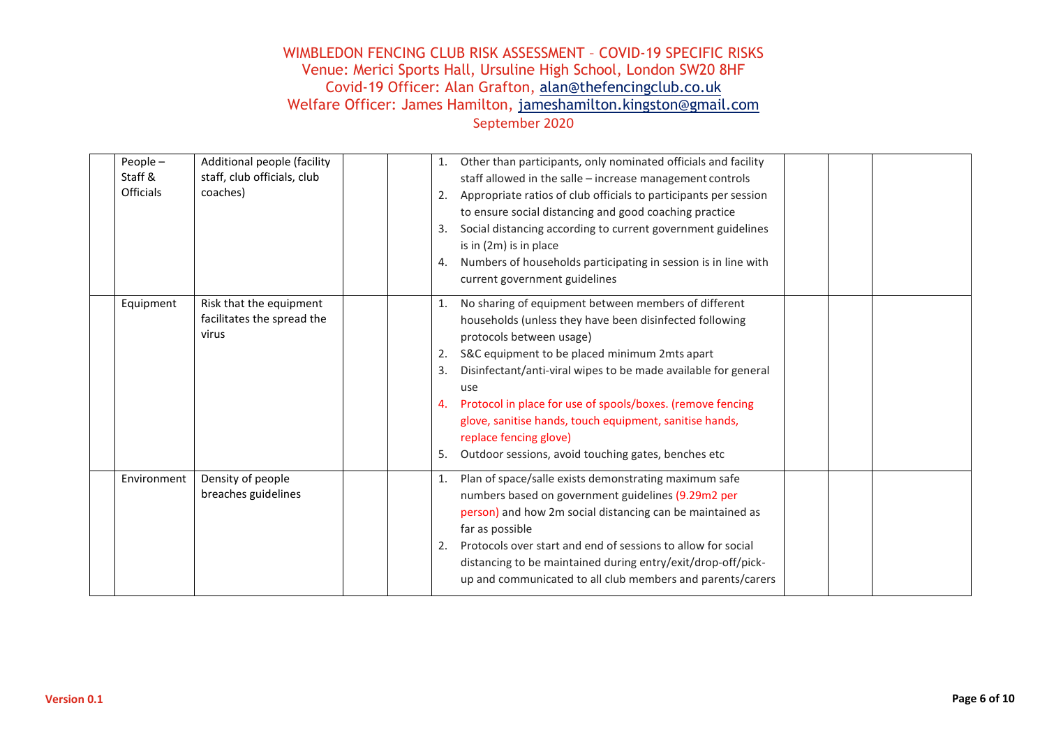| People $-$<br>Staff &<br><b>Officials</b> | Additional people (facility<br>staff, club officials, club<br>coaches) | 1.<br>2.<br>3.<br>4.       | Other than participants, only nominated officials and facility<br>staff allowed in the salle - increase management controls<br>Appropriate ratios of club officials to participants per session<br>to ensure social distancing and good coaching practice<br>Social distancing according to current government guidelines<br>is in (2m) is in place<br>Numbers of households participating in session is in line with<br>current government guidelines                          |  |  |
|-------------------------------------------|------------------------------------------------------------------------|----------------------------|---------------------------------------------------------------------------------------------------------------------------------------------------------------------------------------------------------------------------------------------------------------------------------------------------------------------------------------------------------------------------------------------------------------------------------------------------------------------------------|--|--|
| Equipment                                 | Risk that the equipment<br>facilitates the spread the<br>virus         | 1.<br>2.<br>3.<br>4.<br>5. | No sharing of equipment between members of different<br>households (unless they have been disinfected following<br>protocols between usage)<br>S&C equipment to be placed minimum 2mts apart<br>Disinfectant/anti-viral wipes to be made available for general<br>use<br>Protocol in place for use of spools/boxes. (remove fencing<br>glove, sanitise hands, touch equipment, sanitise hands,<br>replace fencing glove)<br>Outdoor sessions, avoid touching gates, benches etc |  |  |
| Environment                               | Density of people<br>breaches guidelines                               | 1.<br>2.                   | Plan of space/salle exists demonstrating maximum safe<br>numbers based on government guidelines (9.29m2 per<br>person) and how 2m social distancing can be maintained as<br>far as possible<br>Protocols over start and end of sessions to allow for social<br>distancing to be maintained during entry/exit/drop-off/pick-<br>up and communicated to all club members and parents/carers                                                                                       |  |  |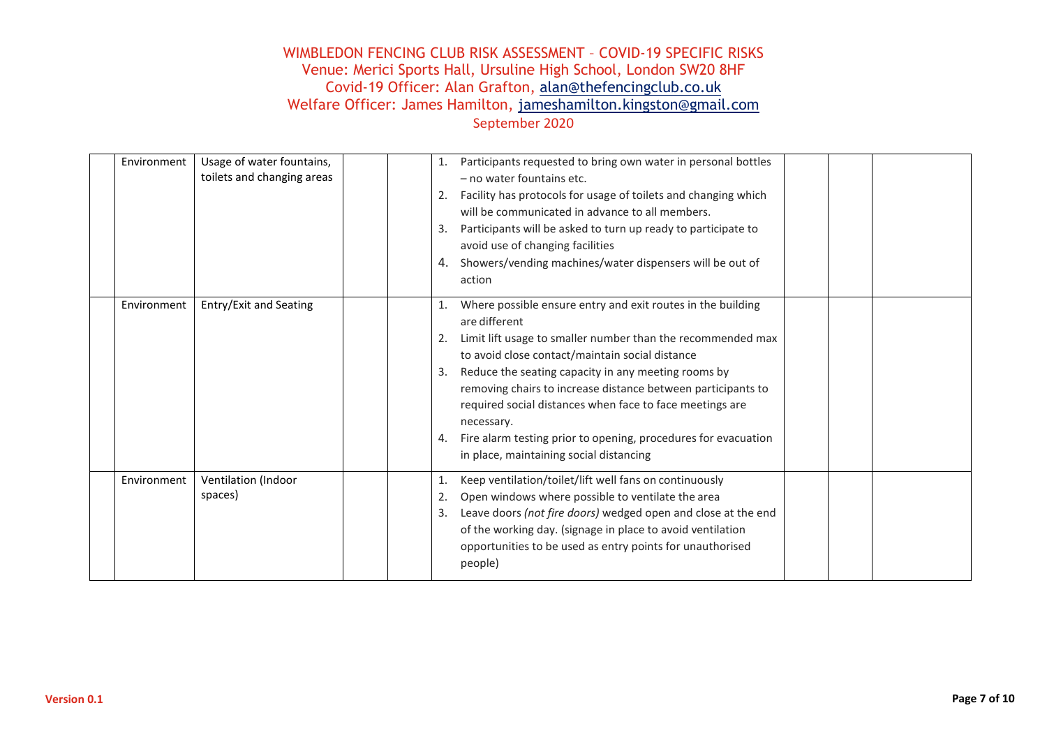| Environment | Usage of water fountains,<br>toilets and changing areas | 1.<br>2.<br>3.<br>4. | Participants requested to bring own water in personal bottles<br>- no water fountains etc.<br>Facility has protocols for usage of toilets and changing which<br>will be communicated in advance to all members.<br>Participants will be asked to turn up ready to participate to<br>avoid use of changing facilities<br>Showers/vending machines/water dispensers will be out of<br>action                                                                                                                      |  |  |
|-------------|---------------------------------------------------------|----------------------|-----------------------------------------------------------------------------------------------------------------------------------------------------------------------------------------------------------------------------------------------------------------------------------------------------------------------------------------------------------------------------------------------------------------------------------------------------------------------------------------------------------------|--|--|
| Environment | Entry/Exit and Seating                                  | 2.<br>3.             | Where possible ensure entry and exit routes in the building<br>are different<br>Limit lift usage to smaller number than the recommended max<br>to avoid close contact/maintain social distance<br>Reduce the seating capacity in any meeting rooms by<br>removing chairs to increase distance between participants to<br>required social distances when face to face meetings are<br>necessary.<br>4. Fire alarm testing prior to opening, procedures for evacuation<br>in place, maintaining social distancing |  |  |
| Environment | Ventilation (Indoor<br>spaces)                          | 1.<br>2.<br>3.       | Keep ventilation/toilet/lift well fans on continuously<br>Open windows where possible to ventilate the area<br>Leave doors (not fire doors) wedged open and close at the end<br>of the working day. (signage in place to avoid ventilation<br>opportunities to be used as entry points for unauthorised<br>people)                                                                                                                                                                                              |  |  |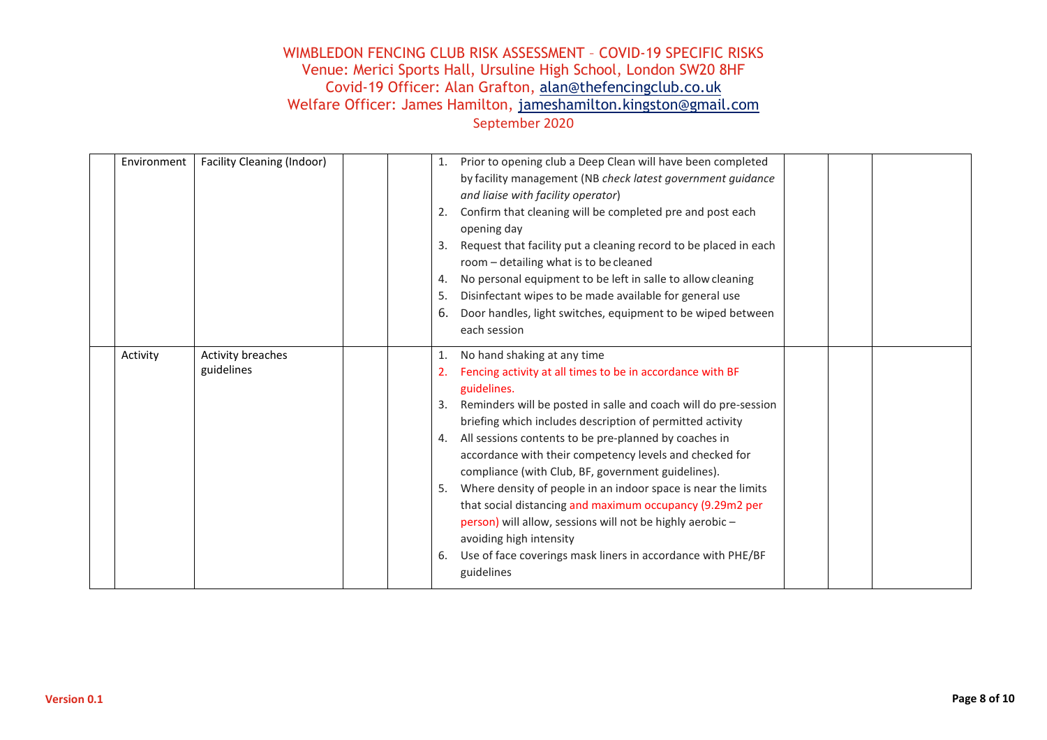| Environment | Facility Cleaning (Indoor)      | 2.<br>3.<br>4.<br>5.<br>6. | 1. Prior to opening club a Deep Clean will have been completed<br>by facility management (NB check latest government guidance<br>and liaise with facility operator)<br>Confirm that cleaning will be completed pre and post each<br>opening day<br>Request that facility put a cleaning record to be placed in each<br>room - detailing what is to be cleaned<br>No personal equipment to be left in salle to allow cleaning<br>Disinfectant wipes to be made available for general use<br>Door handles, light switches, equipment to be wiped between<br>each session                                                                                                                                                    |  |  |
|-------------|---------------------------------|----------------------------|---------------------------------------------------------------------------------------------------------------------------------------------------------------------------------------------------------------------------------------------------------------------------------------------------------------------------------------------------------------------------------------------------------------------------------------------------------------------------------------------------------------------------------------------------------------------------------------------------------------------------------------------------------------------------------------------------------------------------|--|--|
| Activity    | Activity breaches<br>guidelines | 1.<br>3.<br>4.<br>6.       | No hand shaking at any time<br>2. Fencing activity at all times to be in accordance with BF<br>guidelines.<br>Reminders will be posted in salle and coach will do pre-session<br>briefing which includes description of permitted activity<br>All sessions contents to be pre-planned by coaches in<br>accordance with their competency levels and checked for<br>compliance (with Club, BF, government guidelines).<br>5. Where density of people in an indoor space is near the limits<br>that social distancing and maximum occupancy (9.29m2 per<br>person) will allow, sessions will not be highly aerobic -<br>avoiding high intensity<br>Use of face coverings mask liners in accordance with PHE/BF<br>guidelines |  |  |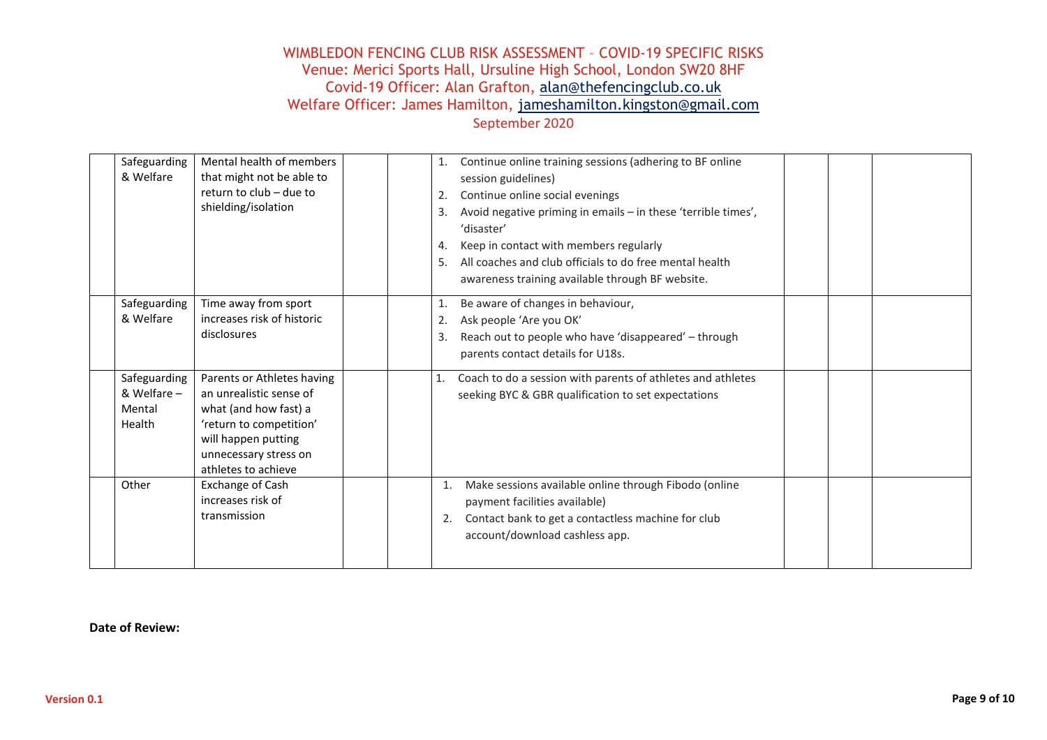| Safeguarding<br>& Welfare                       | Mental health of members<br>that might not be able to<br>return to club - due to<br>shielding/isolation                                                                          | 1.<br>2.<br>3.<br>4.<br>5. | Continue online training sessions (adhering to BF online<br>session guidelines)<br>Continue online social evenings<br>Avoid negative priming in emails - in these 'terrible times',<br>'disaster'<br>Keep in contact with members regularly<br>All coaches and club officials to do free mental health<br>awareness training available through BF website. |  |  |
|-------------------------------------------------|----------------------------------------------------------------------------------------------------------------------------------------------------------------------------------|----------------------------|------------------------------------------------------------------------------------------------------------------------------------------------------------------------------------------------------------------------------------------------------------------------------------------------------------------------------------------------------------|--|--|
| Safeguarding<br>& Welfare                       | Time away from sport<br>increases risk of historic<br>disclosures                                                                                                                | 1.<br>2.<br>3.             | Be aware of changes in behaviour,<br>Ask people 'Are you OK'<br>Reach out to people who have 'disappeared' - through<br>parents contact details for U18s.                                                                                                                                                                                                  |  |  |
| Safeguarding<br>& Welfare -<br>Mental<br>Health | Parents or Athletes having<br>an unrealistic sense of<br>what (and how fast) a<br>'return to competition'<br>will happen putting<br>unnecessary stress on<br>athletes to achieve | 1.                         | Coach to do a session with parents of athletes and athletes<br>seeking BYC & GBR qualification to set expectations                                                                                                                                                                                                                                         |  |  |
| Other                                           | Exchange of Cash<br>increases risk of<br>transmission                                                                                                                            | 1.<br>2.                   | Make sessions available online through Fibodo (online<br>payment facilities available)<br>Contact bank to get a contactless machine for club<br>account/download cashless app.                                                                                                                                                                             |  |  |

**Date of Review:**